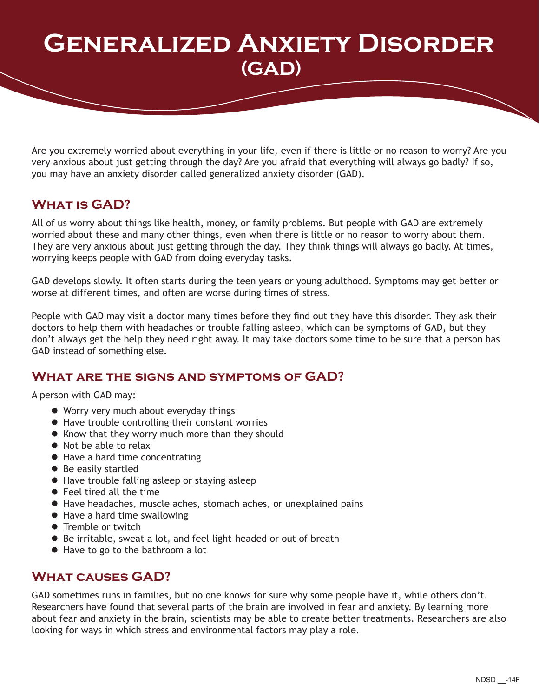# **Generalized Anxiety Disorder (GAD)**

Are you extremely worried about everything in your life, even if there is little or no reason to worry? Are you very anxious about just getting through the day? Are you afraid that everything will always go badly? If so, you may have an anxiety disorder called generalized anxiety disorder (GAD).

## **What is GAD?**

All of us worry about things like health, money, or family problems. But people with GAD are extremely worried about these and many other things, even when there is little or no reason to worry about them. They are very anxious about just getting through the day. They think things will always go badly. At times, worrying keeps people with GAD from doing everyday tasks.

GAD develops slowly. It often starts during the teen years or young adulthood. Symptoms may get better or worse at different times, and often are worse during times of stress.

People with GAD may visit a doctor many times before they find out they have this disorder. They ask their doctors to help them with headaches or trouble falling asleep, which can be symptoms of GAD, but they don't always get the help they need right away. It may take doctors some time to be sure that a person has GAD instead of something else.

#### **What are the signs and symptoms of GAD?**

A person with GAD may:

- Worry very much about everyday things
- Have trouble controlling their constant worries
- Know that they worry much more than they should
- Not be able to relax
- Have a hard time concentrating
- $\bullet$  Be easily startled
- Have trouble falling asleep or staying asleep
- $\bullet$  Feel tired all the time
- l Have headaches, muscle aches, stomach aches, or unexplained pains
- Have a hard time swallowing
- Tremble or twitch
- Be irritable, sweat a lot, and feel light-headed or out of breath
- Have to go to the bathroom a lot

## **What causes GAD?**

GAD sometimes runs in families, but no one knows for sure why some people have it, while others don't. Researchers have found that several parts of the brain are involved in fear and anxiety. By learning more about fear and anxiety in the brain, scientists may be able to create better treatments. Researchers are also looking for ways in which stress and environmental factors may play a role.